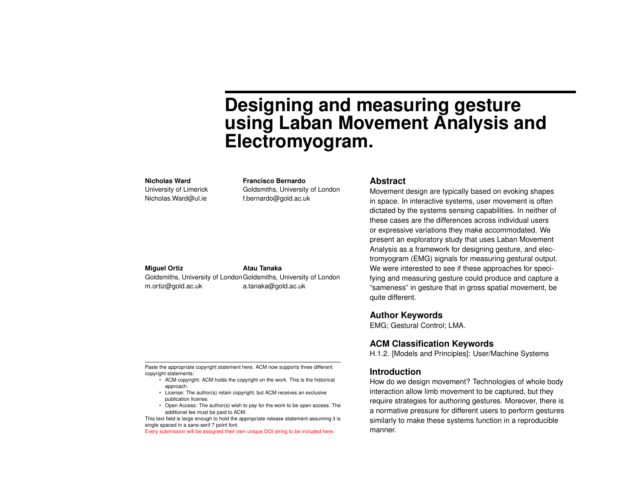# **Designing and measuring gesture using Laban Movement Analysis and Electromyogram.**

#### **Nicholas Ward**

University of Limerick Nicholas.Ward@ul.ie

**Francisco Bernardo** Goldsmiths, University of London f.bernardo@gold.ac.uk

#### **Miguel Ortiz**

Goldsmiths, University of London Goldsmiths, University of London m.ortiz@gold.ac.uk a.tanaka@gold.ac.uk

**Atau Tanaka**

#### **Abstract**

Movement design are typically based on evoking shapes in space. In interactive systems, user movement is often dictated by the systems sensing capabilities. In neither of these cases are the differences across individual users or expressive variations they make accommodated. We present an exploratory study that uses Laban Movement Analysis as a framework for designing gesture, and electromyogram (EMG) signals for measuring gestural output. We were interested to see if these approaches for specifying and measuring gesture could produce and capture a "sameness" in gesture that in gross spatial movement, be quite different.

# **Author Keywords**

EMG; Gestural Control; LMA.

# **ACM Classification Keywords**

H.1.2. [Models and Principles]: User/Machine Systems

## **Introduction**

How do we design movement? Technologies of whole body interaction allow limb movement to be captured, but they require strategies for authoring gestures. Moreover, there is a normative pressure for different users to perform gestures similarly to make these systems function in a reproducible manner.

Paste the appropriate copyright statement here. ACM now supports three different copyright statements:

- ACM copyright: ACM holds the copyright on the work. This is the historical approach.
- License: The author(s) retain copyright, but ACM receives an exclusive publication license.
- Open Access: The author(s) wish to pay for the work to be open access. The additional fee must be paid to ACM.

This text field is large enough to hold the appropriate release statement assuming it is single spaced in a sans-serif 7 point font.

Every submission will be assigned their own unique DOI string to be included here.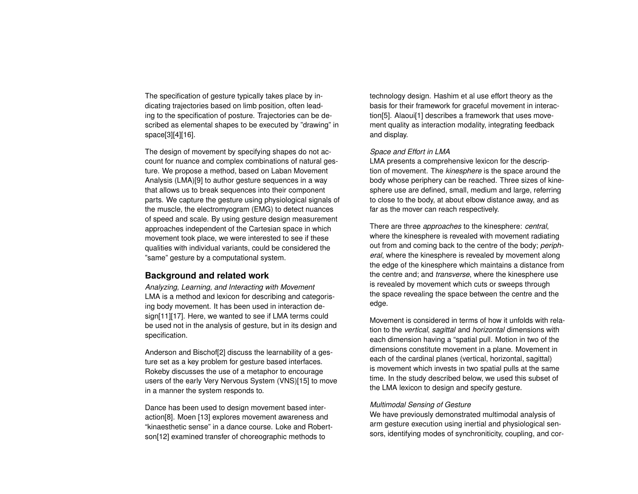The specification of gesture typically takes place by indicating trajectories based on limb position, often leading to the specification of posture. Trajectories can be described as elemental shapes to be executed by "drawing" in space[\[3\]](#page-4-0)[\[4\]](#page-4-1)[\[16\]](#page-5-0).

The design of movement by specifying shapes do not account for nuance and complex combinations of natural gesture. We propose a method, based on Laban Movement Analysis (LMA)[\[9\]](#page-5-1) to author gesture sequences in a way that allows us to break sequences into their component parts. We capture the gesture using physiological signals of the muscle, the electromyogram (EMG) to detect nuances of speed and scale. By using gesture design measurement approaches independent of the Cartesian space in which movement took place, we were interested to see if these qualities with individual variants, could be considered the "same" gesture by a computational system.

# **Background and related work**

*Analyzing, Learning, and Interacting with Movement* LMA is a method and lexicon for describing and categorising body movement. It has been used in interaction de-sign[\[11\]](#page-5-2)[\[17\]](#page-5-3). Here, we wanted to see if LMA terms could be used not in the analysis of gesture, but in its design and specification.

Anderson and Bischof[\[2\]](#page-4-2) discuss the learnability of a gesture set as a key problem for gesture based interfaces. Rokeby discusses the use of a metaphor to encourage users of the early Very Nervous System (VNS)[\[15\]](#page-5-4) to move in a manner the system responds to.

Dance has been used to design movement based interaction[\[8\]](#page-5-5). Moen [\[13\]](#page-5-6) explores movement awareness and "kinaesthetic sense" in a dance course. Loke and Robertson[\[12\]](#page-5-7) examined transfer of choreographic methods to

technology design. Hashim et al use effort theory as the basis for their framework for graceful movement in interaction[\[5\]](#page-4-3). Alaoui[\[1\]](#page-4-4) describes a framework that uses movement quality as interaction modality, integrating feedback and display.

#### *Space and Effort in LMA*

LMA presents a comprehensive lexicon for the description of movement. The *kinesphere* is the space around the body whose periphery can be reached. Three sizes of kinesphere use are defined, small, medium and large, referring to close to the body, at about elbow distance away, and as far as the mover can reach respectively.

There are three *approaches* to the kinesphere: *central*, where the kinesphere is revealed with movement radiating out from and coming back to the centre of the body; *peripheral*, where the kinesphere is revealed by movement along the edge of the kinesphere which maintains a distance from the centre and; and *transverse*, where the kinesphere use is revealed by movement which cuts or sweeps through the space revealing the space between the centre and the edge.

Movement is considered in terms of how it unfolds with relation to the *vertical*, *sagittal* and *horizontal* dimensions with each dimension having a "spatial pull. Motion in two of the dimensions constitute movement in a plane. Movement in each of the cardinal planes (vertical, horizontal, sagittal) is movement which invests in two spatial pulls at the same time. In the study described below, we used this subset of the LMA lexicon to design and specify gesture.

#### *Multimodal Sensing of Gesture*

We have previously demonstrated multimodal analysis of arm gesture execution using inertial and physiological sensors, identifying modes of synchroniticity, coupling, and cor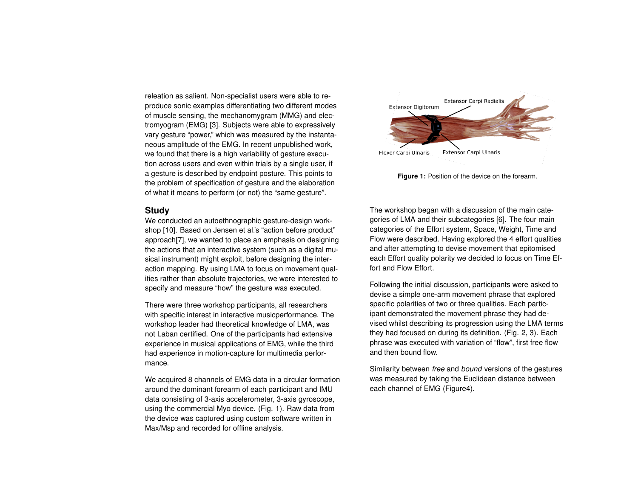releation as salient. Non-specialist users were able to reproduce sonic examples differentiating two different modes of muscle sensing, the mechanomygram (MMG) and electromyogram (EMG) [\[3\]](#page-4-0). Subjects were able to expressively vary gesture "power," which was measured by the instantaneous amplitude of the EMG. In recent unpublished work, we found that there is a high variability of gesture execution across users and even within trials by a single user, if a gesture is described by endpoint posture. This points to the problem of specification of gesture and the elaboration of what it means to perform (or not) the "same gesture".

#### **Study**

We conducted an autoethnographic gesture-design workshop [\[10\]](#page-5-8). Based on Jensen et al.'s "action before product" approach[\[7\]](#page-4-5), we wanted to place an emphasis on designing the actions that an interactive system (such as a digital musical instrument) might exploit, before designing the interaction mapping. By using LMA to focus on movement qualities rather than absolute trajectories, we were interested to specify and measure "how" the gesture was executed.

There were three workshop participants, all researchers with specific interest in interactive musicperformance. The workshop leader had theoretical knowledge of LMA, was not Laban certified. One of the participants had extensive experience in musical applications of EMG, while the third had experience in motion-capture for multimedia performance.

We acquired 8 channels of EMG data in a circular formation around the dominant forearm of each participant and IMU data consisting of 3-axis accelerometer, 3-axis gyroscope, using the commercial Myo device. (Fig. [1\)](#page-2-0). Raw data from the device was captured using custom software written in Max/Msp and recorded for offline analysis.

<span id="page-2-0"></span>

**Figure 1:** Position of the device on the forearm.

The workshop began with a discussion of the main categories of LMA and their subcategories [\[6\]](#page-4-6). The four main categories of the Effort system, Space, Weight, Time and Flow were described. Having explored the 4 effort qualities and after attempting to devise movement that epitomised each Effort quality polarity we decided to focus on Time Effort and Flow Effort.

Following the initial discussion, participants were asked to devise a simple one-arm movement phrase that explored specific polarities of two or three qualities. Each participant demonstrated the movement phrase they had devised whilst describing its progression using the LMA terms they had focused on during its definition. (Fig. [2,](#page-3-0) [3\)](#page-3-1). Each phrase was executed with variation of "flow", first free flow and then bound flow.

Similarity between *free* and *bound* versions of the gestures was measured by taking the Euclidean distance between each channel of EMG (Figur[e4\)](#page-3-2).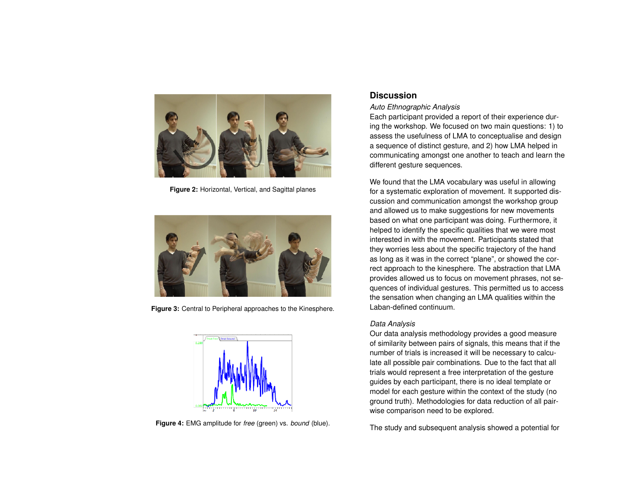<span id="page-3-0"></span>

**Figure 2:** Horizontal, Vertical, and Sagittal planes

<span id="page-3-1"></span>

**Figure 3:** Central to Peripheral approaches to the Kinesphere.

<span id="page-3-2"></span>

**Figure 4:** EMG amplitude for *free* (green) vs. *bound* (blue).

# **Discussion**

*Auto Ethnographic Analysis*

Each participant provided a report of their experience during the workshop. We focused on two main questions: 1) to assess the usefulness of LMA to conceptualise and design a sequence of distinct gesture, and 2) how LMA helped in communicating amongst one another to teach and learn the different gesture sequences.

We found that the LMA vocabulary was useful in allowing for a systematic exploration of movement. It supported discussion and communication amongst the workshop group and allowed us to make suggestions for new movements based on what one participant was doing. Furthermore, it helped to identify the specific qualities that we were most interested in with the movement. Participants stated that they worries less about the specific trajectory of the hand as long as it was in the correct "plane", or showed the correct approach to the kinesphere. The abstraction that LMA provides allowed us to focus on movement phrases, not sequences of individual gestures. This permitted us to access the sensation when changing an LMA qualities within the Laban-defined continuum.

# *Data Analysis*

Our data analysis methodology provides a good measure of similarity between pairs of signals, this means that if the number of trials is increased it will be necessary to calculate all possible pair combinations. Due to the fact that all trials would represent a free interpretation of the gesture guides by each participant, there is no ideal template or model for each gesture within the context of the study (no ground truth). Methodologies for data reduction of all pairwise comparison need to be explored.

The study and subsequent analysis showed a potential for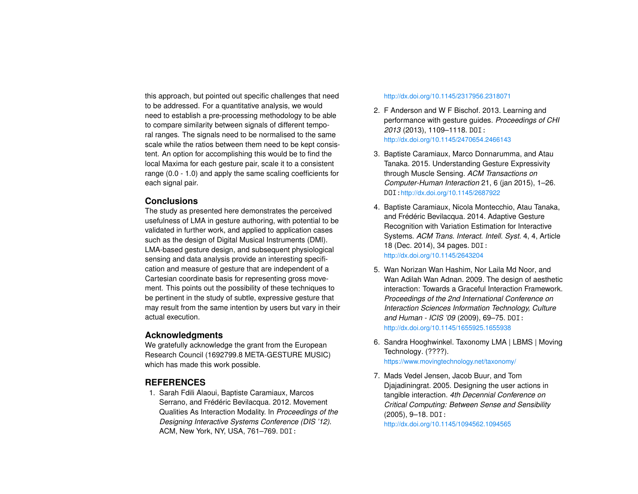this approach, but pointed out specific challenges that need to be addressed. For a quantitative analysis, we would need to establish a pre-processing methodology to be able to compare similarity between signals of different temporal ranges. The signals need to be normalised to the same scale while the ratios between them need to be kept consistent. An option for accomplishing this would be to find the local Maxima for each gesture pair, scale it to a consistent range (0.0 - 1.0) and apply the same scaling coefficients for each signal pair.

## **Conclusions**

The study as presented here demonstrates the perceived usefulness of LMA in gesture authoring, with potential to be validated in further work, and applied to application cases such as the design of Digital Musical Instruments (DMI). LMA-based gesture design, and subsequent physiological sensing and data analysis provide an interesting specification and measure of gesture that are independent of a Cartesian coordinate basis for representing gross movement. This points out the possibility of these techniques to be pertinent in the study of subtle, expressive gesture that may result from the same intention by users but vary in their actual execution.

# **Acknowledgments**

We gratefully acknowledge the grant from the European Research Council (1692799.8 META-GESTURE MUSIC) which has made this work possible.

# **REFERENCES**

<span id="page-4-4"></span>1. Sarah Fdili Alaoui, Baptiste Caramiaux, Marcos Serrano, and Frédéric Bevilacqua. 2012. Movement Qualities As Interaction Modality. In *Proceedings of the Designing Interactive Systems Conference (DIS '12)*. ACM, New York, NY, USA, 761–769. DOI:

#### <http://dx.doi.org/10.1145/2317956.2318071>

- <span id="page-4-2"></span>2. F Anderson and W F Bischof. 2013. Learning and performance with gesture guides. *Proceedings of CHI 2013* (2013), 1109–1118. DOI: <http://dx.doi.org/10.1145/2470654.2466143>
- <span id="page-4-0"></span>3. Baptiste Caramiaux, Marco Donnarumma, and Atau Tanaka. 2015. Understanding Gesture Expressivity through Muscle Sensing. *ACM Transactions on Computer-Human Interaction* 21, 6 (jan 2015), 1–26. DOI:<http://dx.doi.org/10.1145/2687922>
- <span id="page-4-1"></span>4. Baptiste Caramiaux, Nicola Montecchio, Atau Tanaka, and Frédéric Bevilacqua. 2014. Adaptive Gesture Recognition with Variation Estimation for Interactive Systems. *ACM Trans. Interact. Intell. Syst.* 4, 4, Article 18 (Dec. 2014), 34 pages. DOI: <http://dx.doi.org/10.1145/2643204>
- <span id="page-4-3"></span>5. Wan Norizan Wan Hashim, Nor Laila Md Noor, and Wan Adilah Wan Adnan. 2009. The design of aesthetic interaction: Towards a Graceful Interaction Framework. *Proceedings of the 2nd International Conference on Interaction Sciences Information Technology, Culture and Human - ICIS '09* (2009), 69–75. DOI: <http://dx.doi.org/10.1145/1655925.1655938>
- <span id="page-4-6"></span>6. Sandra Hooghwinkel. Taxonomy LMA | LBMS | Moving Technology. (????). <https://www.movingtechnology.net/taxonomy/>
- <span id="page-4-5"></span>7. Mads Vedel Jensen, Jacob Buur, and Tom Djajadiningrat. 2005. Designing the user actions in tangible interaction. *4th Decennial Conference on Critical Computing: Between Sense and Sensibility* (2005), 9–18. DOI:

<http://dx.doi.org/10.1145/1094562.1094565>